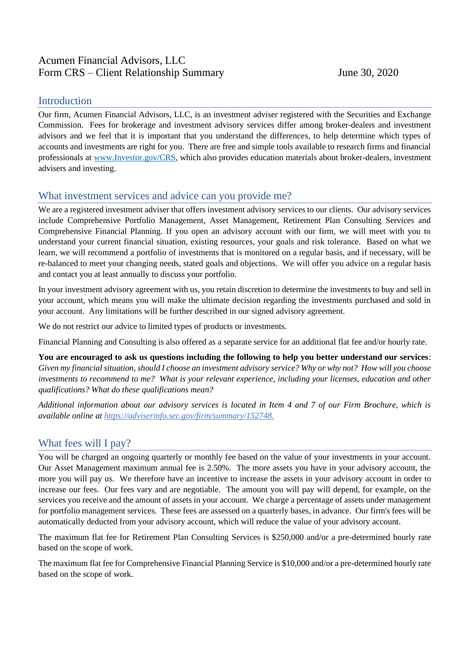# Acumen Financial Advisors, LLC Form CRS – Client Relationship Summary June 30, 2020

### Introduction

Our firm, Acumen Financial Advisors, LLC, is an investment adviser registered with the Securities and Exchange Commission. Fees for brokerage and investment advisory services differ among broker-dealers and investment advisors and we feel that it is important that you understand the differences, to help determine which types of accounts and investments are right for you. There are free and simple tools available to research firms and financial professionals at [www.Investor.gov/CRS,](http://www.investor.gov/CRS) which also provides education materials about broker-dealers, investment advisers and investing.

### What investment services and advice can you provide me?

We are a registered investment adviser that offers investment advisory services to our clients. Our advisory services include Comprehensive Portfolio Management, Asset Management, Retirement Plan Consulting Services and Comprehensive Financial Planning. If you open an advisory account with our firm, we will meet with you to understand your current financial situation, existing resources, your goals and risk tolerance. Based on what we learn, we will recommend a portfolio of investments that is monitored on a regular basis, and if necessary, will be re-balanced to meet your changing needs, stated goals and objections. We will offer you advice on a regular basis and contact you at least annually to discuss your portfolio.

In your investment advisory agreement with us, you retain discretion to determine the investments to buy and sell in your account, which means you will make the ultimate decision regarding the investments purchased and sold in your account. Any limitations will be further described in our signed advisory agreement.

We do not restrict our advice to limited types of products or investments.

Financial Planning and Consulting is also offered as a separate service for an additional flat fee and/or hourly rate.

**You are encouraged to ask us questions including the following to help you better understand our services**: *Given my financial situation, should I choose an investment advisory service? Why or why not? How will you choose investments to recommend to me? What is your relevant experience, including your licenses, education and other qualifications? What do these qualifications mean?*

*Additional information about our advisory services is located in Item 4 and 7 of our Firm Brochure, which is available online at https://adviserinfo.sec.gov/firm/summary/152748.*

# What fees will I pay?

You will be charged an ongoing quarterly or monthly fee based on the value of your investments in your account. Our Asset Management maximum annual fee is 2.50%. The more assets you have in your advisory account, the more you will pay us. We therefore have an incentive to increase the assets in your advisory account in order to increase our fees. Our fees vary and are negotiable. The amount you will pay will depend, for example, on the services you receive and the amount of assets in your account. We charge a percentage of assets under management for portfolio management services. These fees are assessed on a quarterly bases, in advance. Our firm's fees will be automatically deducted from your advisory account, which will reduce the value of your advisory account.

The maximum flat fee for Retirement Plan Consulting Services is \$250,000 and/or a pre-determined hourly rate based on the scope of work.

The maximum flat fee for Comprehensive Financial Planning Service is \$10,000 and/or a pre-determined hourly rate based on the scope of work.